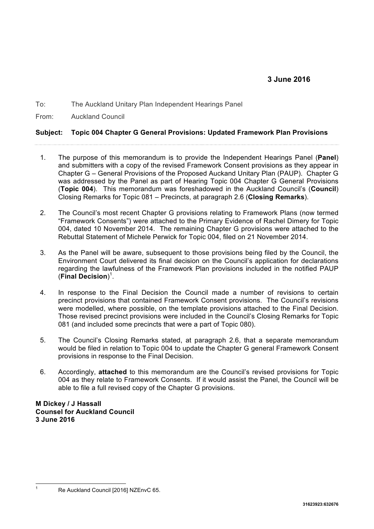To: The Auckland Unitary Plan Independent Hearings Panel

From: Auckland Council

## **Subject: Topic 004 Chapter G General Provisions: Updated Framework Plan Provisions**

- 1. The purpose of this memorandum is to provide the Independent Hearings Panel (**Panel**) and submitters with a copy of the revised Framework Consent provisions as they appear in Chapter G – General Provisions of the Proposed Auckand Unitary Plan (PAUP). Chapter G was addressed by the Panel as part of Hearing Topic 004 Chapter G General Provisions (**Topic 004**). This memorandum was foreshadowed in the Auckland Council's (**Council**) Closing Remarks for Topic 081 – Precincts, at paragraph 2.6 (**Closing Remarks**).
- 2. The Council's most recent Chapter G provisions relating to Framework Plans (now termed "Framework Consents") were attached to the Primary Evidence of Rachel Dimery for Topic 004, dated 10 November 2014. The remaining Chapter G provisions were attached to the Rebuttal Statement of Michele Perwick for Topic 004, filed on 21 November 2014.
- 3. As the Panel will be aware, subsequent to those provisions being filed by the Council, the Environment Court delivered its final decision on the Council's application for declarations regarding the lawfulness of the Framework Plan provisions included in the notified PAUP (**Final Decision**) 1 .
- 4. In response to the Final Decision the Council made a number of revisions to certain precinct provisions that contained Framework Consent provisions. The Council's revisions were modelled, where possible, on the template provisions attached to the Final Decision. Those revised precinct provisions were included in the Council's Closing Remarks for Topic 081 (and included some precincts that were a part of Topic 080).
- 5. The Council's Closing Remarks stated, at paragraph 2.6, that a separate memorandum would be filed in relation to Topic 004 to update the Chapter G general Framework Consent provisions in response to the Final Decision.
- 6. Accordingly, **attached** to this memorandum are the Council's revised provisions for Topic 004 as they relate to Framework Consents. If it would assist the Panel, the Council will be able to file a full revised copy of the Chapter G provisions.

**M Dickey / J Hassall Counsel for Auckland Council 3 June 2016**

<sup>&</sup>lt;sup>1</sup> Re Auckland Council [2016] NZEnvC 65.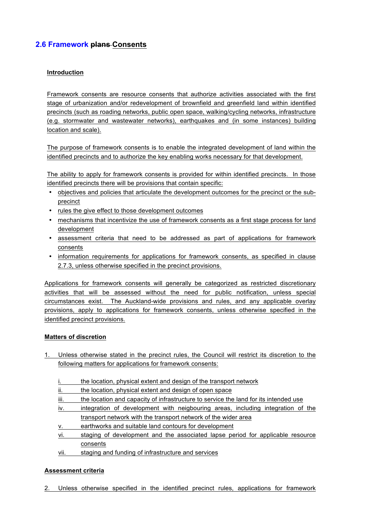# **2.6 Framework plans Consents**

### **Introduction**

Framework consents are resource consents that authorize activities associated with the first stage of urbanization and/or redevelopment of brownfield and greenfield land within identified precincts (such as roading networks, public open space, walking/cycling networks, infrastructure (e.g. stormwater and wastewater networks), earthquakes and (in some instances) building location and scale).

The purpose of framework consents is to enable the integrated development of land within the identified precincts and to authorize the key enabling works necessary for that development.

The ability to apply for framework consents is provided for within identified precincts. In those identified precincts there will be provisions that contain specific:

- objectives and policies that articulate the development outcomes for the precinct or the subprecinct
- rules the give effect to those development outcomes
- mechanisms that incentivize the use of framework consents as a first stage process for land development
- assessment criteria that need to be addressed as part of applications for framework consents
- information requirements for applications for framework consents, as specified in clause 2.7.3, unless otherwise specified in the precinct provisions.

Applications for framework consents will generally be categorized as restricted discretionary activities that will be assessed without the need for public notification, unless special circumstances exist. The Auckland-wide provisions and rules, and any applicable overlay provisions, apply to applications for framework consents, unless otherwise specified in the identified precinct provisions.

#### **Matters of discretion**

- 1. Unless otherwise stated in the precinct rules, the Council will restrict its discretion to the following matters for applications for framework consents:
	- i. the location, physical extent and design of the transport network
	- ii. the location, physical extent and design of open space
	- iii. the location and capacity of infrastructure to service the land for its intended use
	- iv. integration of development with neigbouring areas, including integration of the transport network with the transport network of the wider area
	- v. earthworks and suitable land contours for development
	- vi. staging of development and the associated lapse period for applicable resource consents
	- vii. staging and funding of infrastructure and services

# **Assessment criteria**

2. Unless otherwise specified in the identified precinct rules, applications for framework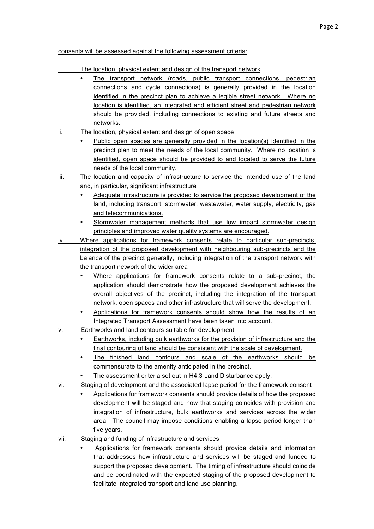#### consents will be assessed against the following assessment criteria:

- The location, physical extent and design of the transport network
	- The transport network (roads, public transport connections, pedestrian connections and cycle connections) is generally provided in the location identified in the precinct plan to achieve a legible street network. Where no location is identified, an integrated and efficient street and pedestrian network should be provided, including connections to existing and future streets and networks.
- ii. The location, physical extent and design of open space
	- Public open spaces are generally provided in the location(s) identified in the precinct plan to meet the needs of the local community. Where no location is identified, open space should be provided to and located to serve the future needs of the local community.
- iii. The location and capacity of infrastructure to service the intended use of the land and, in particular, significant infrastructure
	- Adequate infrastructure is provided to service the proposed development of the land, including transport, stormwater, wastewater, water supply, electricity, gas and telecommunications.
	- Stormwater management methods that use low impact stormwater design principles and improved water quality systems are encouraged.
- iv. Where applications for framework consents relate to particular sub-precincts, integration of the proposed development with neighbouring sub-precincts and the balance of the precinct generally, including integration of the transport network with the transport network of the wider area
	- Where applications for framework consents relate to a sub-precinct, the application should demonstrate how the proposed development achieves the overall objectives of the precinct, including the integration of the transport network, open spaces and other infrastructure that will serve the development.
	- Applications for framework consents should show how the results of an Integrated Transport Assessment have been taken into account.
- v. Earthworks and land contours suitable for development
	- Earthworks, including bulk earthworks for the provision of infrastructure and the final contouring of land should be consistent with the scale of development.
	- The finished land contours and scale of the earthworks should be commensurate to the amenity anticipated in the precinct.
	- The assessment criteria set out in H4.3 Land Disturbance apply.
- vi. Staging of development and the associated lapse period for the framework consent
	- Applications for framework consents should provide details of how the proposed development will be staged and how that staging coincides with provision and integration of infrastructure, bulk earthworks and services across the wider area. The council may impose conditions enabling a lapse period longer than five years.
- vii. Staging and funding of infrastructure and services
	- Applications for framework consents should provide details and information that addresses how infrastructure and services will be staged and funded to support the proposed development. The timing of infrastructure should coincide and be coordinated with the expected staging of the proposed development to facilitate integrated transport and land use planning.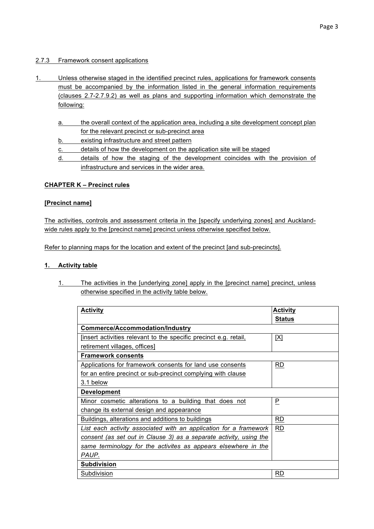## 2.7.3 Framework consent applications

- 1. Unless otherwise staged in the identified precinct rules, applications for framework consents must be accompanied by the information listed in the general information requirements (clauses 2.7-2.7.9.2) as well as plans and supporting information which demonstrate the following:
	- a. the overall context of the application area, including a site development concept plan for the relevant precinct or sub-precinct area
	- b. existing infrastructure and street pattern
	- c. details of how the development on the application site will be staged
	- d. details of how the staging of the development coincides with the provision of infrastructure and services in the wider area.

# **CHAPTER K – Precinct rules**

### **[Precinct name]**

The activities, controls and assessment criteria in the [specify underlying zones] and Aucklandwide rules apply to the [precinct name] precinct unless otherwise specified below.

Refer to planning maps for the location and extent of the precinct [and sub-precincts].

#### **1. Activity table**

1. The activities in the [underlying zone] apply in the [precinct name] precinct, unless otherwise specified in the activity table below.

| <b>Activity</b>                                                    | <b>Activity</b> |
|--------------------------------------------------------------------|-----------------|
|                                                                    | <b>Status</b>   |
| Commerce/Accommodation/Industry                                    |                 |
| finsert activities relevant to the specific precinct e.g. retail,  | <u>[X]</u>      |
| retirement villages, offices]                                      |                 |
| <b>Framework consents</b>                                          |                 |
| Applications for framework consents for land use consents          | <b>RD</b>       |
| for an entire precinct or sub-precinct complying with clause       |                 |
| 3.1 below                                                          |                 |
| <b>Development</b>                                                 |                 |
| Minor cosmetic alterations to a building that does not             | P               |
| change its external design and appearance                          |                 |
| Buildings, alterations and additions to buildings                  | RD              |
| List each activity associated with an application for a framework  | <b>RD</b>       |
| consent (as set out in Clause 3) as a separate activity, using the |                 |
| same terminology for the activites as appears elsewhere in the     |                 |
| PAUP.                                                              |                 |
| <b>Subdivision</b>                                                 |                 |
| Subdivision                                                        | RD              |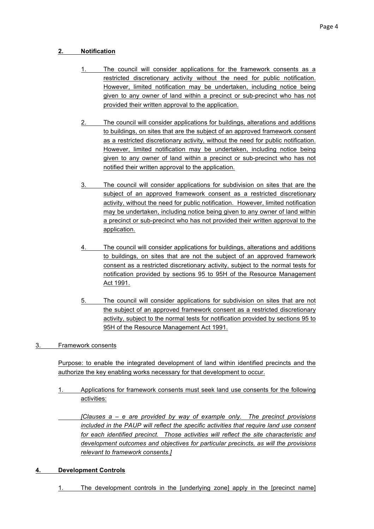# **2. Notification**

- 1. The council will consider applications for the framework consents as a restricted discretionary activity without the need for public notification. However, limited notification may be undertaken, including notice being given to any owner of land within a precinct or sub-precinct who has not provided their written approval to the application.
- 2. The council will consider applications for buildings, alterations and additions to buildings, on sites that are the subject of an approved framework consent as a restricted discretionary activity, without the need for public notification. However, limited notification may be undertaken, including notice being given to any owner of land within a precinct or sub-precinct who has not notified their written approval to the application.
- 3. The council will consider applications for subdivision on sites that are the subject of an approved framework consent as a restricted discretionary activity, without the need for public notification. However, limited notification may be undertaken, including notice being given to any owner of land within a precinct or sub-precinct who has not provided their written approval to the application.
- 4. The council will consider applications for buildings, alterations and additions to buildings, on sites that are not the subject of an approved framework consent as a restricted discretionary activity, subject to the normal tests for notification provided by sections 95 to 95H of the Resource Management Act 1991.
- 5. The council will consider applications for subdivision on sites that are not the subject of an approved framework consent as a restricted discretionary activity, subject to the normal tests for notification provided by sections 95 to 95H of the Resource Management Act 1991.

# 3. Framework consents

Purpose: to enable the integrated development of land within identified precincts and the authorize the key enabling works necessary for that development to occur.

1. Applications for framework consents must seek land use consents for the following activities:

*[Clauses a – e are provided by way of example only. The precinct provisions included in the PAUP will reflect the specific activities that require land use consent for each identified precinct. Those activities will reflect the site characteristic and development outcomes and objectives for particular precincts, as will the provisions relevant to framework consents.]*

# **4. Development Controls**

1. The development controls in the [underlying zone] apply in the [precinct name]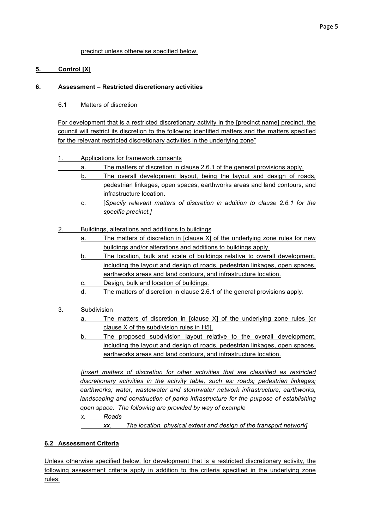precinct unless otherwise specified below.

# **5. Control [X]**

### **6. Assessment – Restricted discretionary activities**

6.1 Matters of discretion

For development that is a restricted discretionary activity in the [precinct name] precinct, the council will restrict its discretion to the following identified matters and the matters specified for the relevant restricted discretionary activities in the underlying zone"

- 1. Applications for framework consents
	- a. The matters of discretion in clause 2.6.1 of the general provisions apply.
		- b. The overall development layout, being the layout and design of roads, pedestrian linkages, open spaces, earthworks areas and land contours, and infrastructure location.
		- c. [*Specify relevant matters of discretion in addition to clause 2.6.1 for the specific precinct.]*
- 2. Buildings, alterations and additions to buildings
	- a. The matters of discretion in [clause X] of the underlying zone rules for new buildings and/or alterations and additions to buildings apply.
	- b. The location, bulk and scale of buildings relative to overall development, including the layout and design of roads, pedestrian linkages, open spaces, earthworks areas and land contours, and infrastructure location.
	- c. Design, bulk and location of buildings.
	- d. The matters of discretion in clause 2.6.1 of the general provisions apply.
- 3. Subdivision
	- a. The matters of discretion in [clause X] of the underlying zone rules [or clause X of the subdivision rules in H5].
	- b. The proposed subdivision layout relative to the overall development, including the layout and design of roads, pedestrian linkages, open spaces, earthworks areas and land contours, and infrastructure location.

*[Insert matters of discretion for other activities that are classified as restricted discretionary activities in the activity table, such as: roads; pedestrian linkages; earthworks; water, wastewater and stormwater network infrastructure; earthworks, landscaping and construction of parks infrastructure for the purpose of establishing open space. The following are provided by way of example x. Roads*

*xx. The location, physical extent and design of the transport network]* 

#### **6.2 Assessment Criteria**

Unless otherwise specified below, for development that is a restricted discretionary activity, the following assessment criteria apply in addition to the criteria specified in the underlying zone rules: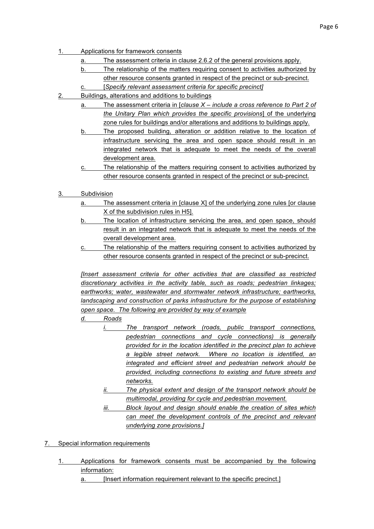- 1. Applications for framework consents
	- a. The assessment criteria in clause 2.6.2 of the general provisions apply.
	- b. The relationship of the matters requiring consent to activities authorized by other resource consents granted in respect of the precinct or sub-precinct.
	- c. [*Specify relevant assessment criteria for specific precinct]*
- 2. Buildings, alterations and additions to buildings
	- a. The assessment criteria in [*clause X – include a cross reference to Part 2 of the Unitary Plan which provides the specific provisions*] of the underlying zone rules for buildings and/or alterations and additions to buildings apply.
	- b. The proposed building, alteration or addition relative to the location of infrastructure servicing the area and open space should result in an integrated network that is adequate to meet the needs of the overall development area.
	- c. The relationship of the matters requiring consent to activities authorized by other resource consents granted in respect of the precinct or sub-precinct.
- 3. Subdivision
	- a. The assessment criteria in [clause X] of the underlying zone rules [or clause X of the subdivision rules in H5].
	- b. The location of infrastructure servicing the area, and open space, should result in an integrated network that is adequate to meet the needs of the overall development area.
	- c. The relationship of the matters requiring consent to activities authorized by other resource consents granted in respect of the precinct or sub-precinct.

*[Insert assessment criteria for other activities that are classified as restricted discretionary activities in the activity table, such as roads; pedestrian linkages; earthworks; water, wastewater and stormwater network infrastructure; earthworks, landscaping and construction of parks infrastructure for the purpose of establishing open space. The following are provided by way of example*

*d. Roads*

- *i. The transport network (roads, public transport connections, pedestrian connections and cycle connections) is generally provided for in the location identified in the precinct plan to achieve a legible street network. Where no location is identified, an integrated and efficient street and pedestrian network should be provided, including connections to existing and future streets and networks.*
	- *ii. The physical extent and design of the transport network should be multimodal, providing for cycle and pedestrian movement.*
	- *iii. Block layout and design should enable the creation of sites which can meet the development controls of the precinct and relevant underlying zone provisions.]*
- 7. Special information requirements
	- 1. Applications for framework consents must be accompanied by the following information:

a. [Insert information requirement relevant to the specific precinct.]